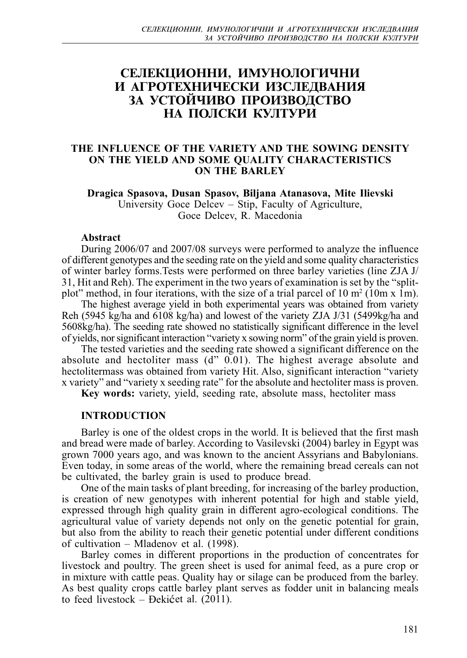# СЕЛЕКЦИОННИ, ИМУНОЛОГИЧНИ **И АГРОТЕХНИЧЕСКИ ИЗСЛЕДВАНИЯ<br>ЗА УСТОЙЧИВО ПРОИЗВОДСТВО** НА ПОЛСКИ КУЛТУРИ

## **THE INFLUENCE OF THE VARIETY AND THE SOWING DENSITY ON THE YIELD AND SOME QUALITY CHARACTERISTICS ON THE BARLEY**

**Dragica Spasova, Dusan Spasov, Biljana Atanasova, Mite Ilievski** University Goce Delcev – Stip, Faculty of Agriculture, Goce Delcev, R. Macedonia

#### **Abstract**

During 2006/07 and 2007/08 surveys were performed to analyze the influence of different genotypes and the seeding rate on the yield and some quality characteristics of winter barley forms.Tests were performed on three barley varieties (line ZJA J/ 31, Hit and Reh). The experiment in the two years of examination is set by the "splitplot" method, in four iterations, with the size of a trial parcel of  $10 \text{ m}^2$  ( $10 \text{m} \times 1 \text{m}$ ).

The highest average yield in both experimental years was obtained from variety Reh (5945 kg/ha and 6108 kg/ha) and lowest of the variety ZJA J/31 (5499kg/ha and 5608kg/ha). The seeding rate showed no statistically significant difference in the level of yields, nor significant interaction "variety x sowing norm" of the grain yield is proven.

The tested varieties and the seeding rate showed a significant difference on the absolute and hectoliter mass (d" 0.01). The highest average absolute and hectolitermass was obtained from variety Hit. Also, significant interaction "variety x variety" and "variety x seeding rate" for the absolute and hectoliter mass is proven.

**Key words:** variety, yield, seeding rate, absolute mass, hectoliter mass

#### **INTRODUCTION**

Barley is one of the oldest crops in the world. It is believed that the first mash and bread were made of barley. According to Vasilevski (2004) barley in Egypt was grown 7000 years ago, and was known to the ancient Assyrians and Babylonians. Even today, in some areas of the world, where the remaining bread cereals can not be cultivated, the barley grain is used to produce bread.

One of the main tasks of plant breeding, for increasing of the barley production, is creation of new genotypes with inherent potential for high and stable yield, expressed through high quality grain in different agro-ecological conditions. The agricultural value of variety depends not only on the genetic potential for grain, but also from the ability to reach their genetic potential under different conditions of cultivation – Mladenov et al. (1998).

Barley comes in different proportions in the production of concentrates for livestock and poultry. The green sheet is used for animal feed, as a pure crop or in mixture with cattle peas. Quality hay or silage can be produced from the barley. As best quality crops cattle barley plant serves as fodder unit in balancing meals to feed livestock – Đekićet al.  $(2011)$ .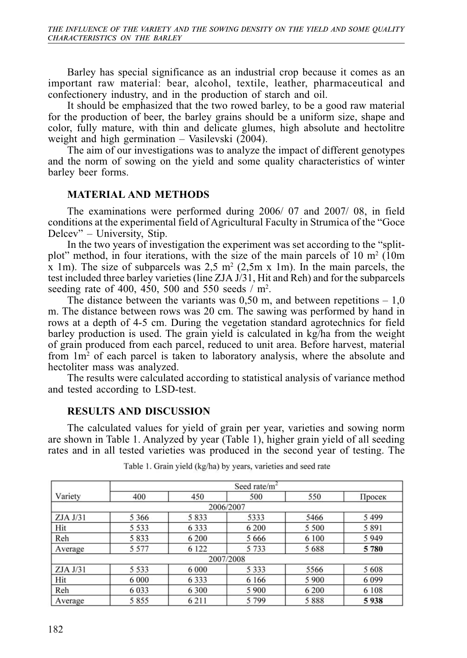Barley has special significance as an industrial crop because it comes as an important raw material: bear, alcohol, textile, leather, pharmaceutical and confectionery industry, and in the production of starch and oil.

It should be emphasized that the two rowed barley, to be a good raw material for the production of beer, the barley grains should be a uniform size, shape and color, fully mature, with thin and delicate glumes, high absolute and hectolitre weight and high germination – Vasilevski (2004).

The aim of our investigations was to analyze the impact of different genotypes and the norm of sowing on the yield and some quality characteristics of winter barley beer forms.

## **MATERIAL AND METHODS**

The examinations were performed during 2006/ 07 and 2007/ 08, in field conditions at the experimental field of Agricultural Faculty in Strumica of the "Goce Delcev" – University, Stip.

In the two years of investigation the experiment was set according to the "splitplot" method, in four iterations, with the size of the main parcels of  $10 \text{ m}^2$  (10m) x 1m). The size of subparcels was  $2.5 \text{ m}^2$  (2.5m x 1m). In the main parcels, the test included three barley varieties (line ZJA J/31, Hit and Reh) and for the subparcels seeding rate of 400, 450, 500 and 550 seeds  $/m<sup>2</sup>$ .

The distance between the variants was  $0.50$  m, and between repetitions  $-1.0$ m. The distance between rows was 20 cm. The sawing was performed by hand in rows at a depth of 4-5 cm. During the vegetation standard agrotechnics for field barley production is used. The grain yield is calculated in kg/ha from the weight of grain produced from each parcel, reduced to unit area. Before harvest, material from 1m<sup>2</sup> of each parcel is taken to laboratory analysis, where the absolute and hectoliter mass was analyzed.

The results were calculated according to statistical analysis of variance method and tested according to LSD-test.

## **RESULTS AND DISCUSSION**

The calculated values for yield of grain per year, varieties and sowing norm are shown in Table 1. Analyzed by year (Table 1), higher grain yield of all seeding rates and in all tested varieties was produced in the second year of testing. The

|          | Seed rate/m <sup>2</sup> |         |           |         |         |  |  |  |
|----------|--------------------------|---------|-----------|---------|---------|--|--|--|
| Variety  | 400                      | 450     | 500       | 550     | Просек  |  |  |  |
|          |                          |         | 2006/2007 |         |         |  |  |  |
| ZJA J/31 | 5 3 6 6                  | 5833    | 5333      | 5466    | 5499    |  |  |  |
| Hit      | 5 5 3 3                  | 6 3 3 3 | 6 200     | 5 500   | 5891    |  |  |  |
| Reh      | 5833                     | 6 200   | 5 6 6 6   | 6 100   | 5949    |  |  |  |
| Average  | 5 5 7 7                  | 6 1 2 2 | 5 7 3 3   | 5688    | 5780    |  |  |  |
|          |                          |         | 2007/2008 |         |         |  |  |  |
| ZJA J/31 | 5 5 3 3                  | 6 0 0 0 | 5 3 3 3   | 5566    | 5608    |  |  |  |
| Hit      | 6 0 0 0                  | 6 3 3 3 | 6 1 6 6   | 5 9 0 0 | 6 0 9 9 |  |  |  |
| Reh      | 6 0 3 3                  | 6 300   | 5 9 0 0   | 6 200   | 6 108   |  |  |  |
| Average  | 5855                     | 6 2 1 1 | 5799      | 5888    | 5938    |  |  |  |

Table 1. Grain yield (kg/ha) by years, varieties and seed rate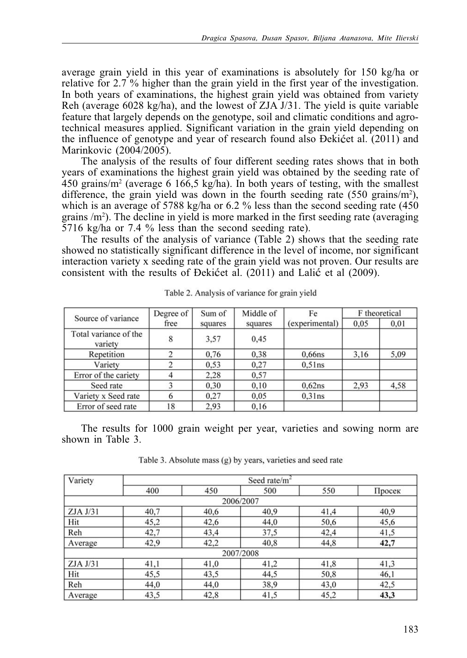average grain yield in this year of examinations is absolutely for 150 kg/ha or relative for 2.7 % higher than the grain yield in the first year of the investigation. In both years of examinations, the highest grain yield was obtained from variety Reh (average 6028 kg/ha), and the lowest of ZJA J/31. The yield is quite variable feature that largely depends on the genotype, soil and climatic conditions and agrotechnical measures applied. Significant variation in the grain yield depending on the influence of genotype and year of research found also Dekićet al. (2011) and Marinkovic (2004/2005).

The analysis of the results of four different seeding rates shows that in both years of examinations the highest grain yield was obtained by the seeding rate of 450 grains/m2 (average 6 166,5 kg/ha). In both years of testing, with the smallest difference, the grain yield was down in the fourth seeding rate  $(550 \text{ grains/m}^2)$ , which is an average of 5788 kg/ha or 6.2 % less than the second seeding rate (450) grains /m2 ). The decline in yield is more marked in the first seeding rate (averaging 5716 kg/ha or 7.4 % less than the second seeding rate).

The results of the analysis of variance (Table 2) shows that the seeding rate showed no statistically significant difference in the level of income, nor significant interaction variety x seeding rate of the grain yield was not proven. Our results are consistent with the results of Dekićet al.  $(2011)$  and Lalić et al  $(2009)$ .

| Source of variance               | Degree of | Sum of  | Middle of | Fe             | F theoretical |      |
|----------------------------------|-----------|---------|-----------|----------------|---------------|------|
|                                  | free      | squares | squares   | (experimental) | 0.05          | 0,01 |
| Total variance of the<br>variety | 8         | 3.57    | 0.45      |                |               |      |
| Repetition                       |           | 0,76    | 0,38      | $0.66$ ns      | 3.16          | 5,09 |
| Variety                          |           | 0.53    | 0.27      | $0.51$ ns      |               |      |
| Error of the cariety             |           | 2,28    | 0.57      |                |               |      |
| Seed rate                        |           | 0,30    | 0,10      | 0.62ns         | 2,93          | 4,58 |
| Variety x Seed rate              | 6         | 0.27    | 0.05      | 0.31ns         |               |      |
| Error of seed rate               | 18        | 2,93    | 0.16      |                |               |      |

Table 2. Analysis of variance for grain yield

The results for 1000 grain weight per year, varieties and sowing norm are shown in Table 3.

Table 3. Absolute mass (g) by years, varieties and seed rate

| Variety  | Seed rate/m <sup>2</sup> |      |           |      |        |  |  |
|----------|--------------------------|------|-----------|------|--------|--|--|
|          | 400                      | 450  | 500       | 550  | Просек |  |  |
|          |                          |      | 2006/2007 |      |        |  |  |
| ZJA J/31 | 40,7                     | 40,6 | 40,9      | 41,4 | 40,9   |  |  |
| Hit      | 45,2                     | 42,6 | 44,0      | 50,6 | 45,6   |  |  |
| Reh      | 42,7                     | 43,4 | 37,5      | 42,4 | 41,5   |  |  |
| Average  | 42,9                     | 42,2 | 40,8      | 44,8 | 42,7   |  |  |
|          |                          |      | 2007/2008 |      |        |  |  |
| ZJA J/31 | 41,1                     | 41,0 | 41,2      | 41,8 | 41,3   |  |  |
| Hit      | 45,5                     | 43,5 | 44,5      | 50,8 | 46,1   |  |  |
| Reh      | 44,0                     | 44,0 | 38,9      | 43,0 | 42,5   |  |  |
| Average  | 43,5                     | 42,8 | 41,5      | 45,2 | 43,3   |  |  |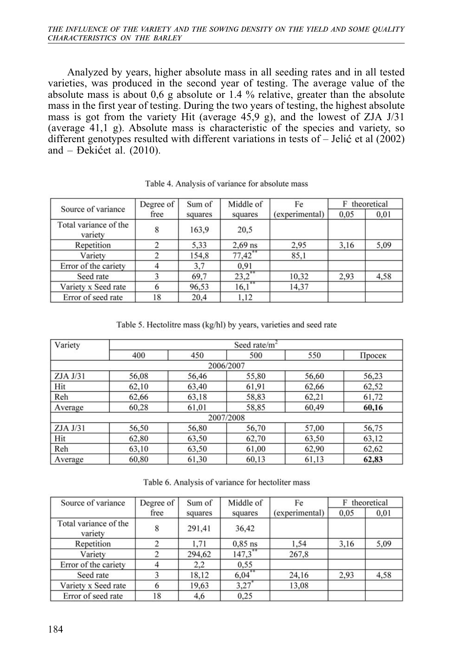Analyzed by years, higher absolute mass in all seeding rates and in all tested varieties, was produced in the second year of testing. The average value of the absolute mass is about 0,6 g absolute or 1.4 % relative, greater than the absolute mass in the first year of testing. During the two years of testing, the highest absolute mass is got from the variety Hit (average 45,9 g), and the lowest of ZJA J/31 (average 41,1 g). Absolute mass is characteristic of the species and variety, so different genotypes resulted with different variations in tests of  $-$  Jelić et al (2002) and – Dekićet al.  $(2010)$ .

| Source of variance               | Degree of | Sum of  | Middle of  | Fe             | theoretical<br>F |      |
|----------------------------------|-----------|---------|------------|----------------|------------------|------|
|                                  | free      | squares | squares    | (experimental) | 0,05             | 0,01 |
| Total variance of the<br>variety | 8         | 163,9   | 20,5       |                |                  |      |
| Repetition                       |           | 5,33    | $2.69$ ns  | 2.95           | 3.16             | 5,09 |
| Variety                          |           | 154,8   | $77,42$ ** | 85,1           |                  |      |
| Error of the cariety             | 4         | 3,7     | 0,91       |                |                  |      |
| Seed rate                        |           | 69,7    | 23,2       | 10.32          | 2.93             | 4,58 |
| Variety x Seed rate              |           | 96,53   | 16,1       | 14,37          |                  |      |
| Error of seed rate               | 18        | 20,4    | 1,12       |                |                  |      |

Table 4. Analysis of variance for absolute mass

Table 5. Hectolitre mass (kg/hl) by years, varieties and seed rate

| Variety  | Seed rate/ $m2$ |       |           |       |        |  |  |  |
|----------|-----------------|-------|-----------|-------|--------|--|--|--|
|          | 400             | 450   | 500       | 550   | Просек |  |  |  |
|          |                 |       | 2006/2007 |       |        |  |  |  |
| ZJA J/31 | 56,08           | 56,46 | 55,80     | 56,60 | 56,23  |  |  |  |
| Hit      | 62,10           | 63,40 | 61,91     | 62,66 | 62,52  |  |  |  |
| Reh      | 62,66           | 63,18 | 58,83     | 62,21 | 61,72  |  |  |  |
| Average  | 60,28           | 61,01 | 58,85     | 60,49 | 60,16  |  |  |  |
|          |                 |       | 2007/2008 |       |        |  |  |  |
| ZJA J/31 | 56,50           | 56,80 | 56,70     | 57,00 | 56,75  |  |  |  |
| Hit      | 62,80           | 63,50 | 62,70     | 63,50 | 63,12  |  |  |  |
| Reh      | 63,10           | 63,50 | 61,00     | 62,90 | 62,62  |  |  |  |
| Average  | 60,80           | 61,30 | 60,13     | 61,13 | 62,83  |  |  |  |

Table 6. Analysis of variance for hectoliter mass

| Source of variance               | Degree of | Sum of  | Middle of | Fe             | theoretical<br>F |      |
|----------------------------------|-----------|---------|-----------|----------------|------------------|------|
|                                  | free      | squares | squares   | (experimental) | 0.05             | 0,01 |
| Total variance of the<br>variety | 8         | 291,41  | 36,42     |                |                  |      |
| Repetition                       |           | 1.71    | $0.85$ ns | 1.54           | 3.16             | 5,09 |
| Variety                          | 2         | 294,62  | 147.3     | 267.8          |                  |      |
| Error of the cariety             | 4         | 2,2     | 0.55      |                |                  |      |
| Seed rate                        |           | 18.12   | 6,04      | 24,16          | 2,93             | 4,58 |
| Variety x Seed rate              |           | 19.63   | 3,27      | 13,08          |                  |      |
| Error of seed rate               | 18        | 4,6     | 0.25      |                |                  |      |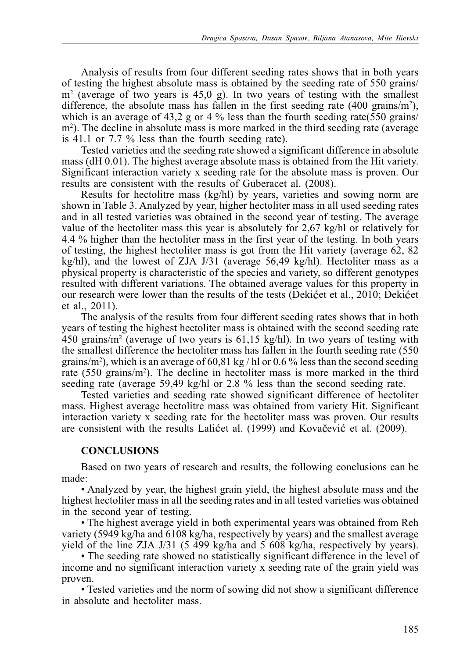Analysis of results from four different seeding rates shows that in both years of testing the highest absolute mass is obtained by the seeding rate of 550 grains/ m2 (average of two years is 45,0 g). In two years of testing with the smallest difference, the absolute mass has fallen in the first seeding rate  $(400 \text{ grains/m}^2)$ , which is an average of 43,2 g or 4  $\%$  less than the fourth seeding rate(550 grains/ m<sup>2</sup>). The decline in absolute mass is more marked in the third seeding rate (average is 41.1 or 7.7 % less than the fourth seeding rate).

Tested varieties and the seeding rate showed a significant difference in absolute mass (dH 0.01). The highest average absolute mass is obtained from the Hit variety. Significant interaction variety x seeding rate for the absolute mass is proven. Our results are consistent with the results of Guberacet al. (2008).

Results for hectolitre mass (kg/hl) by years, varieties and sowing norm are shown in Table 3. Analyzed by year, higher hectoliter mass in all used seeding rates and in all tested varieties was obtained in the second year of testing. The average value of the hectoliter mass this year is absolutely for 2,67 kg/hl or relatively for 4.4 % higher than the hectoliter mass in the first year of the testing. In both years of testing, the highest hectoliter mass is got from the Hit variety (average 62, 82 kg/hl), and the lowest of ZJA J/31 (average 56,49 kg/hl). Hectoliter mass as a physical property is characteristic of the species and variety, so different genotypes resulted with different variations. The obtained average values for this property in our research were lower than the results of the tests (Dekićet et al., 2010; Dekićet et al., 2011).

The analysis of the results from four different seeding rates shows that in both years of testing the highest hectoliter mass is obtained with the second seeding rate 450 grains/m<sup>2</sup> (average of two years is  $61,15$  kg/hl). In two years of testing with the smallest difference the hectoliter mass has fallen in the fourth seeding rate (550 grains/m<sup>2</sup>), which is an average of 60,81 kg / hl or 0.6 % less than the second seeding rate (550 grains/m<sup>2</sup>). The decline in hectoliter mass is more marked in the third seeding rate (average 59,49 kg/hl or 2.8 % less than the second seeding rate.

Tested varieties and seeding rate showed significant difference of hectoliter mass. Highest average hectolitre mass was obtained from variety Hit. Significant interaction variety x seeding rate for the hectoliter mass was proven. Our results are consistent with the results Lalicet al. (1999) and Kovacevic et al. (2009).

# **CONCLUSIONS**

Based on two years of research and results, the following conclusions can be made:

• Analyzed by year, the highest grain yield, the highest absolute mass and the highest hectoliter mass in all the seeding rates and in all tested varieties was obtained in the second year of testing.

• The highest average yield in both experimental years was obtained from Reh variety (5949 kg/ha and 6108 kg/ha, respectively by years) and the smallest average yield of the line ZJA J/31 (5 499 kg/ha and 5 608 kg/ha, respectively by years).

• The seeding rate showed no statistically significant difference in the level of income and no significant interaction variety x seeding rate of the grain yield was proven.

• Tested varieties and the norm of sowing did not show a significant difference in absolute and hectoliter mass.